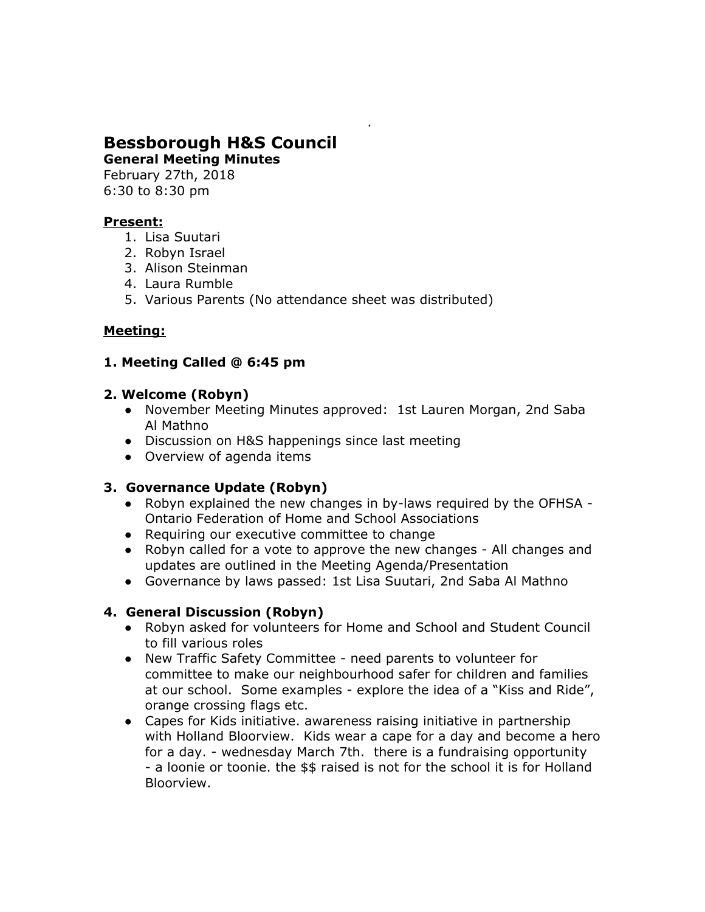# **Bessborough H&S Council**

**General Meeting Minutes** February 27th, 2018

6:30 to 8:30 pm

## **Present:**

- 1. Lisa Suutari
- 2. Robyn Israel
- 3. Alison Steinman
- 4. Laura Rumble
- 5. Various Parents (No attendance sheet was distributed)

# **Meeting:**

## **1. Meeting Called @ 6:45 pm**

#### **2. Welcome (Robyn)**

- November Meeting Minutes approved: 1st Lauren Morgan, 2nd Saba Al Mathno
- Discussion on H&S happenings since last meeting
- Overview of agenda items

## **3. Governance Update (Robyn)**

- Robyn explained the new changes in by-laws required by the OFHSA Ontario Federation of Home and School Associations
- Requiring our executive committee to change
- Robyn called for a vote to approve the new changes All changes and updates are outlined in the Meeting Agenda/Presentation
- Governance by laws passed: 1st Lisa Suutari, 2nd Saba Al Mathno

## **4. General Discussion (Robyn)**

- Robyn asked for volunteers for Home and School and Student Council to fill various roles
- New Traffic Safety Committee need parents to volunteer for committee to make our neighbourhood safer for children and families at our school. Some examples - explore the idea of a "Kiss and Ride", orange crossing flags etc.
- Capes for Kids initiative. awareness raising initiative in partnership with Holland Bloorview. Kids wear a cape for a day and become a hero for a day. - wednesday March 7th. there is a fundraising opportunity - a loonie or toonie. the \$\$ raised is not for the school it is for Holland Bloorview.